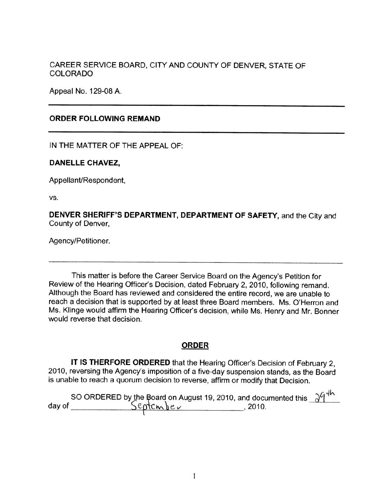CAREER SERVICE BOARD, CITY AND COUNTY OF DENVER, STATE OF COLORADO

Appeal No. 129-08 A.

## **ORDER FOLLOWING REMAND**

IN THE MATTER OF THE APPEAL OF:

## **DANELLE CHAVEZ,**

Appellant/Respondent,

vs.

**DENVER SHERIFF'S DEPARTMENT, DEPARTMENT OF SAFETY,** and the City and County of Denver,

Agency/Petitioner.

This matter is before the Career Service Board on the Agency's Petition for Review of the Hearing Officer's Decision, dated February 2, 2010, following remand. Although the Board has reviewed and considered the entire record, we are unable to reach a decision that is supported by at least three Board members. Ms. O'Herron and Ms. Klinge would affirm the Hearing Officer's decision, while Ms. Henry and Mr. Bonner would reverse that decision.

## **ORDER**

**IT IS THERFORE ORDERED** that the Hearing Officer's Decision of February 2, 2010, reversing the Agency's imposition of a five-day suspension stands, as the Board is unable to reach a quorum decision to reverse, affirm or modify that Decision.

|        |           | SO ORDERED by the Board on August 19, 2010, and documented this $\lambda^{q}$ <sup>4</sup> |  |
|--------|-----------|--------------------------------------------------------------------------------------------|--|
| day of | September | -2010.                                                                                     |  |